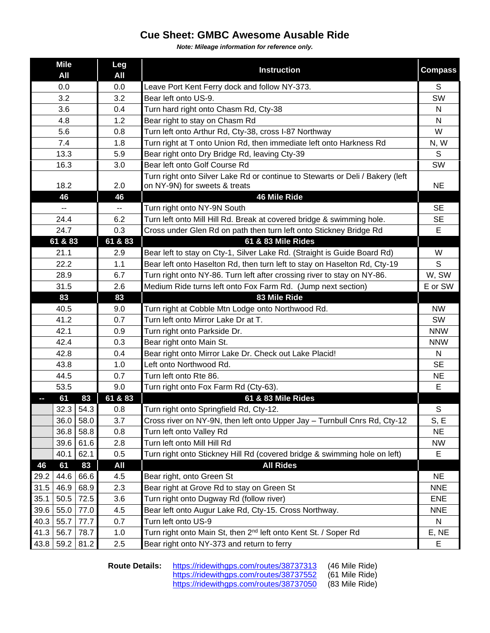## **Cue Sheet: GMBC Awesome Ausable Ride**

*Note: Mileage information for reference only.*

| <b>Mile</b><br>All |      | Leg<br>All | <b>Instruction</b>                                                            | <b>Compass</b> |
|--------------------|------|------------|-------------------------------------------------------------------------------|----------------|
| 0.0                |      | 0.0        | Leave Port Kent Ferry dock and follow NY-373.                                 | S              |
| 3.2                |      | 3.2        | Bear left onto US-9.                                                          | SW             |
| 3.6                |      | 0.4        | Turn hard right onto Chasm Rd, Cty-38                                         | N              |
| 4.8                |      | 1.2        | Bear right to stay on Chasm Rd                                                | N              |
| 5.6                |      | 0.8        | Turn left onto Arthur Rd, Cty-38, cross I-87 Northway                         | W              |
| 7.4                |      | 1.8        | Turn right at T onto Union Rd, then immediate left onto Harkness Rd           | N, W           |
| 13.3               |      | 5.9        | Bear right onto Dry Bridge Rd, leaving Cty-39                                 | S              |
| 16.3               |      | 3.0        | Bear left onto Golf Course Rd                                                 | SW             |
| 18.2               |      | 2.0        | Turn right onto Silver Lake Rd or continue to Stewarts or Deli / Bakery (left | <b>NE</b>      |
| 46                 |      | 46         | on NY-9N) for sweets & treats<br>46 Mile Ride                                 |                |
| $- -$              |      | н.         | Turn right onto NY-9N South                                                   | <b>SE</b>      |
| 24.4               |      | 6.2        | Turn left onto Mill Hill Rd. Break at covered bridge & swimming hole.         | <b>SE</b>      |
| 24.7               |      | 0.3        | Cross under Glen Rd on path then turn left onto Stickney Bridge Rd            | E              |
| 61 & 83            |      | 61 & 83    | 61 & 83 Mile Rides                                                            |                |
| 21.1               |      | 2.9        | Bear left to stay on Cty-1, Silver Lake Rd. (Straight is Guide Board Rd)      | W              |
| 22.2               |      | 1.1        | Bear left onto Haselton Rd, then turn left to stay on Haselton Rd, Cty-19     | S              |
| 28.9               |      | 6.7        | Turn right onto NY-86. Turn left after crossing river to stay on NY-86.       | W, SW          |
| 31.5               |      | 2.6        | Medium Ride turns left onto Fox Farm Rd. (Jump next section)                  | E or SW        |
| 83                 |      | 83         | 83 Mile Ride                                                                  |                |
| 40.5               |      | 9.0        | Turn right at Cobble Mtn Lodge onto Northwood Rd.                             | <b>NW</b>      |
| 41.2               |      | 0.7        | Turn left onto Mirror Lake Dr at T.                                           | SW             |
| 42.1               |      | 0.9        | Turn right onto Parkside Dr.                                                  | <b>NNW</b>     |
| 42.4               |      | 0.3        | Bear right onto Main St.                                                      | <b>NNW</b>     |
| 42.8               |      | 0.4        | Bear right onto Mirror Lake Dr. Check out Lake Placid!                        | N              |
| 43.8               |      | 1.0        | Left onto Northwood Rd.                                                       | <b>SE</b>      |
| 44.5               |      | 0.7        | Turn left onto Rte 86.                                                        | <b>NE</b>      |
| 53.5               |      | 9.0        | Turn right onto Fox Farm Rd (Cty-63).                                         | E              |
| 61                 | 83   | 61 & 83    | 61 & 83 Mile Rides                                                            |                |
| 32.3               | 54.3 | 0.8        | Turn right onto Springfield Rd, Cty-12.                                       | S              |
| 36.0               | 58.0 | 3.7        | Cross river on NY-9N, then left onto Upper Jay - Turnbull Cnrs Rd, Cty-12     | S, E           |
| 36.8               | 58.8 | 0.8        | Turn left onto Valley Rd                                                      | <b>NE</b>      |
| 39.6               | 61.6 | 2.8        | Turn left onto Mill Hill Rd                                                   | <b>NW</b>      |
| 40.1               | 62.1 | 0.5        | Turn right onto Stickney Hill Rd (covered bridge & swimming hole on left)     | E              |
| 61<br>46           | 83   | All        | <b>All Rides</b>                                                              |                |
| 29.2<br>44.6       | 66.6 | 4.5        | Bear right, onto Green St                                                     | <b>NE</b>      |
| 31.5<br>46.9       | 68.9 | 2.3        | Bear right at Grove Rd to stay on Green St                                    | <b>NNE</b>     |
| 35.1<br>50.5       | 72.5 | 3.6        | Turn right onto Dugway Rd (follow river)                                      | <b>ENE</b>     |
| 39.6<br>55.0       | 77.0 | 4.5        | Bear left onto Augur Lake Rd, Cty-15. Cross Northway.                         | <b>NNE</b>     |
| 40.3<br>55.7       | 77.7 | 0.7        | Turn left onto US-9                                                           | N              |
| 41.3<br>56.7       | 78.7 | 1.0        | Turn right onto Main St, then 2 <sup>nd</sup> left onto Kent St. / Soper Rd   | E, NE          |
| 43.8<br>59.2       | 81.2 | 2.5        | Bear right onto NY-373 and return to ferry                                    | E              |

**Route Details:** <https://ridewithgps.com/routes/38737313> (46 Mile Ride) <https://ridewithgps.com/routes/38737552> (61 Mile Ride) <https://ridewithgps.com/routes/38737050> (83 Mile Ride)